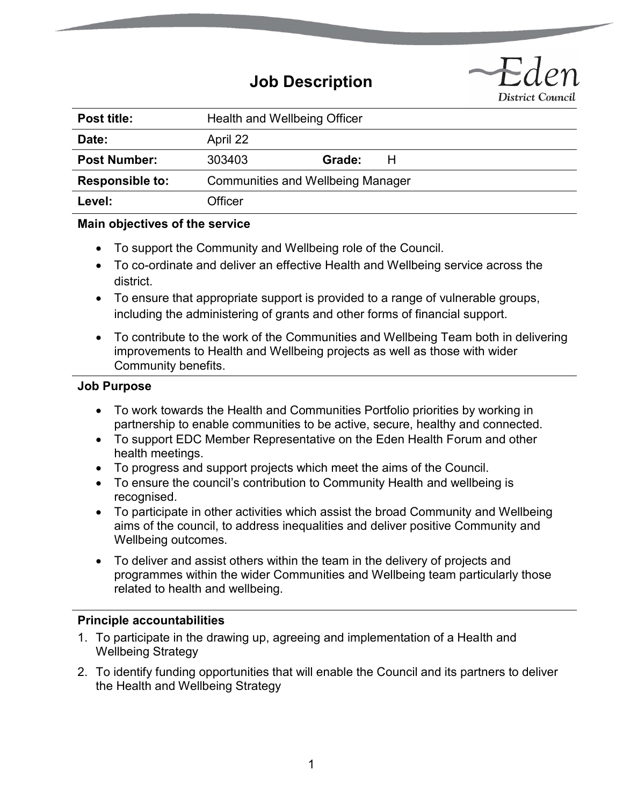# **Job Description**



| Post title:            | Health and Wellbeing Officer             |        |  |
|------------------------|------------------------------------------|--------|--|
| Date:                  | April 22                                 |        |  |
| <b>Post Number:</b>    | 303403                                   | Grade: |  |
| <b>Responsible to:</b> | <b>Communities and Wellbeing Manager</b> |        |  |
| Level:                 | Officer                                  |        |  |

# **Main objectives of the service**

- To support the Community and Wellbeing role of the Council.
- To co-ordinate and deliver an effective Health and Wellbeing service across the district.
- To ensure that appropriate support is provided to a range of vulnerable groups, including the administering of grants and other forms of financial support.
- To contribute to the work of the Communities and Wellbeing Team both in delivering improvements to Health and Wellbeing projects as well as those with wider Community benefits.

#### **Job Purpose**

- To work towards the Health and Communities Portfolio priorities by working in partnership to enable communities to be active, secure, healthy and connected.
- To support EDC Member Representative on the Eden Health Forum and other health meetings.
- To progress and support projects which meet the aims of the Council.
- To ensure the council's contribution to Community Health and wellbeing is recognised.
- To participate in other activities which assist the broad Community and Wellbeing aims of the council, to address inequalities and deliver positive Community and Wellbeing outcomes.
- To deliver and assist others within the team in the delivery of projects and programmes within the wider Communities and Wellbeing team particularly those related to health and wellbeing.

#### **Principle accountabilities**

- 1. To participate in the drawing up, agreeing and implementation of a Health and Wellbeing Strategy
- 2. To identify funding opportunities that will enable the Council and its partners to deliver the Health and Wellbeing Strategy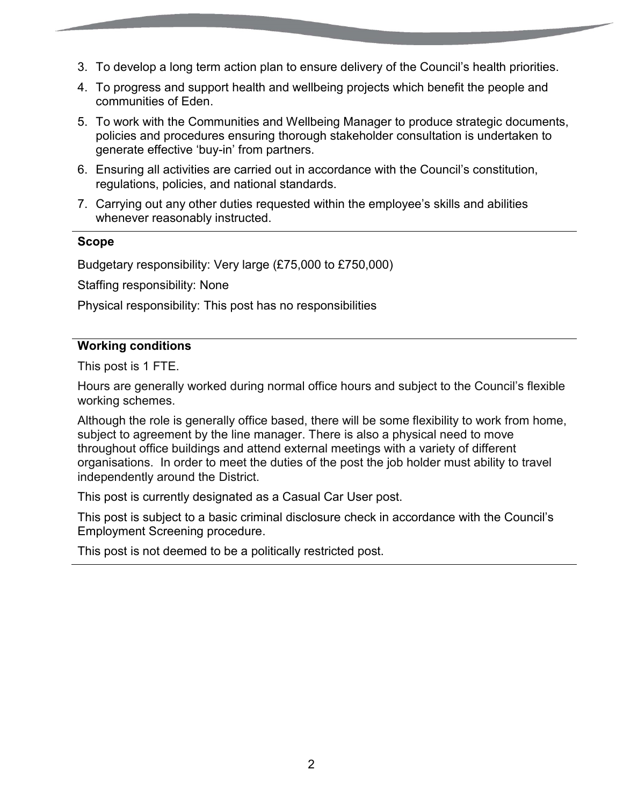- 3. To develop a long term action plan to ensure delivery of the Council's health priorities.
- 4. To progress and support health and wellbeing projects which benefit the people and communities of Eden.
- 5. To work with the Communities and Wellbeing Manager to produce strategic documents, policies and procedures ensuring thorough stakeholder consultation is undertaken to generate effective 'buy-in' from partners.
- 6. Ensuring all activities are carried out in accordance with the Council's constitution, regulations, policies, and national standards.
- 7. Carrying out any other duties requested within the employee's skills and abilities whenever reasonably instructed.

# **Scope**

Budgetary responsibility: Very large (£75,000 to £750,000)

Staffing responsibility: None

Physical responsibility: This post has no responsibilities

# **Working conditions**

This post is 1 FTE.

Hours are generally worked during normal office hours and subject to the Council's flexible working schemes.

Although the role is generally office based, there will be some flexibility to work from home, subject to agreement by the line manager. There is also a physical need to move throughout office buildings and attend external meetings with a variety of different organisations. In order to meet the duties of the post the job holder must ability to travel independently around the District.

This post is currently designated as a Casual Car User post.

This post is subject to a basic criminal disclosure check in accordance with the Council's Employment Screening procedure.

This post is not deemed to be a politically restricted post.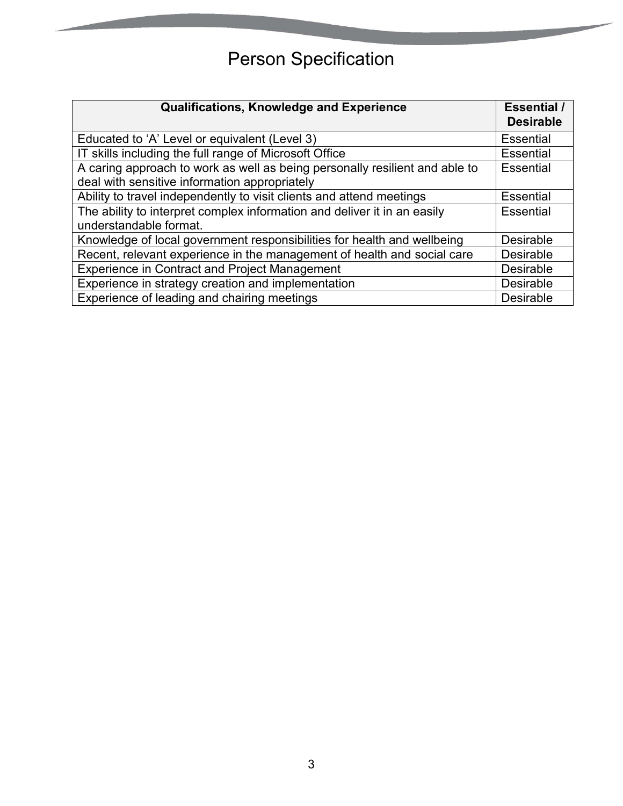# Person Specification

| <b>Qualifications, Knowledge and Experience</b>                                                                              | <b>Essential</b> /<br><b>Desirable</b> |
|------------------------------------------------------------------------------------------------------------------------------|----------------------------------------|
| Educated to 'A' Level or equivalent (Level 3)                                                                                | <b>Essential</b>                       |
| IT skills including the full range of Microsoft Office                                                                       | <b>Essential</b>                       |
| A caring approach to work as well as being personally resilient and able to<br>deal with sensitive information appropriately | <b>Essential</b>                       |
| Ability to travel independently to visit clients and attend meetings                                                         | <b>Essential</b>                       |
| The ability to interpret complex information and deliver it in an easily<br>understandable format.                           | <b>Essential</b>                       |
| Knowledge of local government responsibilities for health and wellbeing                                                      | <b>Desirable</b>                       |
| Recent, relevant experience in the management of health and social care                                                      | <b>Desirable</b>                       |
| <b>Experience in Contract and Project Management</b>                                                                         | <b>Desirable</b>                       |
| Experience in strategy creation and implementation                                                                           | <b>Desirable</b>                       |
| Experience of leading and chairing meetings                                                                                  | <b>Desirable</b>                       |